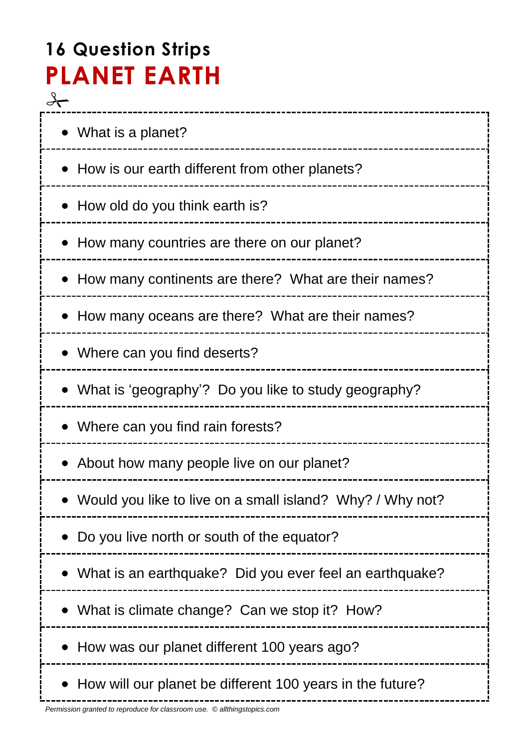# **16 Question Strips PLANET EARTH**  $\frac{1}{\sqrt{1}}$

| • What is a planet?                                       |
|-----------------------------------------------------------|
| • How is our earth different from other planets?          |
| • How old do you think earth is?                          |
| How many countries are there on our planet?               |
| How many continents are there? What are their names?      |
| • How many oceans are there? What are their names?        |
| • Where can you find deserts?                             |
| • What is 'geography'? Do you like to study geography?    |
| • Where can you find rain forests?                        |
| • About how many people live on our planet?               |
| Would you like to live on a small island? Why? / Why not? |
| Do you live north or south of the equator?                |
| What is an earthquake? Did you ever feel an earthquake?   |
| What is climate change? Can we stop it? How?              |
| How was our planet different 100 years ago?               |
| How will our planet be different 100 years in the future? |

------------------------------------